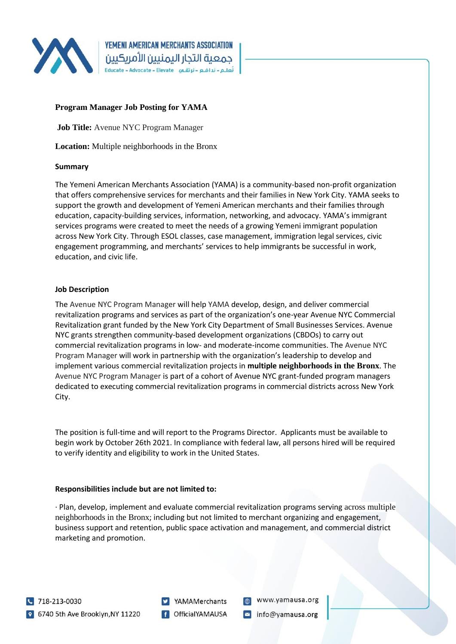

# **Program Manager Job Posting for YAMA**

**Job Title:** Avenue NYC Program Manager

**Location:** Multiple neighborhoods in the Bronx

## **Summary**

The Yemeni American Merchants Association (YAMA) is a community-based non-profit organization that offers comprehensive services for merchants and their families in New York City. YAMA seeks to support the growth and development of Yemeni American merchants and their families through education, capacity-building services, information, networking, and advocacy. YAMA's immigrant services programs were created to meet the needs of a growing Yemeni immigrant population across New York City. Through ESOL classes, case management, immigration legal services, civic engagement programming, and merchants' services to help immigrants be successful in work, education, and civic life.

## **Job Description**

The Avenue NYC Program Manager will help YAMA develop, design, and deliver commercial revitalization programs and services as part of the organization's one-year Avenue NYC Commercial Revitalization grant funded by the New York City Department of Small Businesses Services. Avenue NYC grants strengthen community-based development organizations (CBDOs) to carry out commercial revitalization programs in low- and moderate-income communities. The Avenue NYC Program Manager will work in partnership with the organization's leadership to develop and implement various commercial revitalization projects in **multiple neighborhoods in the Bronx**. The Avenue NYC Program Manager is part of a cohort of Avenue NYC grant-funded program managers dedicated to executing commercial revitalization programs in commercial districts across New York City.

The position is full-time and will report to the Programs Director. Applicants must be available to begin work by October 26th 2021. In compliance with federal law, all persons hired will be required to verify identity and eligibility to work in the United States.

## **Responsibilities include but are not limited to:**

· Plan, develop, implement and evaluate commercial revitalization programs serving across multiple neighborhoods in the Bronx; including but not limited to merchant organizing and engagement, business support and retention, public space activation and management, and commercial district marketing and promotion.

YAMAMerchants **f** OfficialYAMAUSA

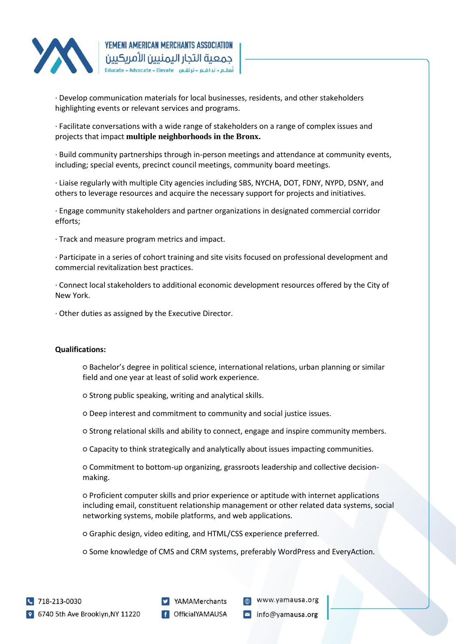

· Develop communication materials for local businesses, residents, and other stakeholders highlighting events or relevant services and programs.

· Facilitate conversations with a wide range of stakeholders on a range of complex issues and projects that impact **multiple neighborhoods in the Bronx.**

· Build community partnerships through in-person meetings and attendance at community events, including; special events, precinct council meetings, community board meetings.

· Liaise regularly with multiple City agencies including SBS, NYCHA, DOT, FDNY, NYPD, DSNY, and others to leverage resources and acquire the necessary support for projects and initiatives.

· Engage community stakeholders and partner organizations in designated commercial corridor efforts;

· Track and measure program metrics and impact.

· Participate in a series of cohort training and site visits focused on professional development and commercial revitalization best practices.

· Connect local stakeholders to additional economic development resources offered by the City of New York.

· Other duties as assigned by the Executive Director.

### **Qualifications:**

○ Bachelor's degree in political science, international relations, urban planning or similar field and one year at least of solid work experience.

○ Strong public speaking, writing and analytical skills.

○ Deep interest and commitment to community and social justice issues.

○ Strong relational skills and ability to connect, engage and inspire community members.

○ Capacity to think strategically and analytically about issues impacting communities.

○ Commitment to bottom-up organizing, grassroots leadership and collective decisionmaking.

○ Proficient computer skills and prior experience or aptitude with internet applications including email, constituent relationship management or other related data systems, social networking systems, mobile platforms, and web applications.

○ Graphic design, video editing, and HTML/CSS experience preferred.

○ Some knowledge of CMS and CRM systems, preferably WordPress and EveryAction.